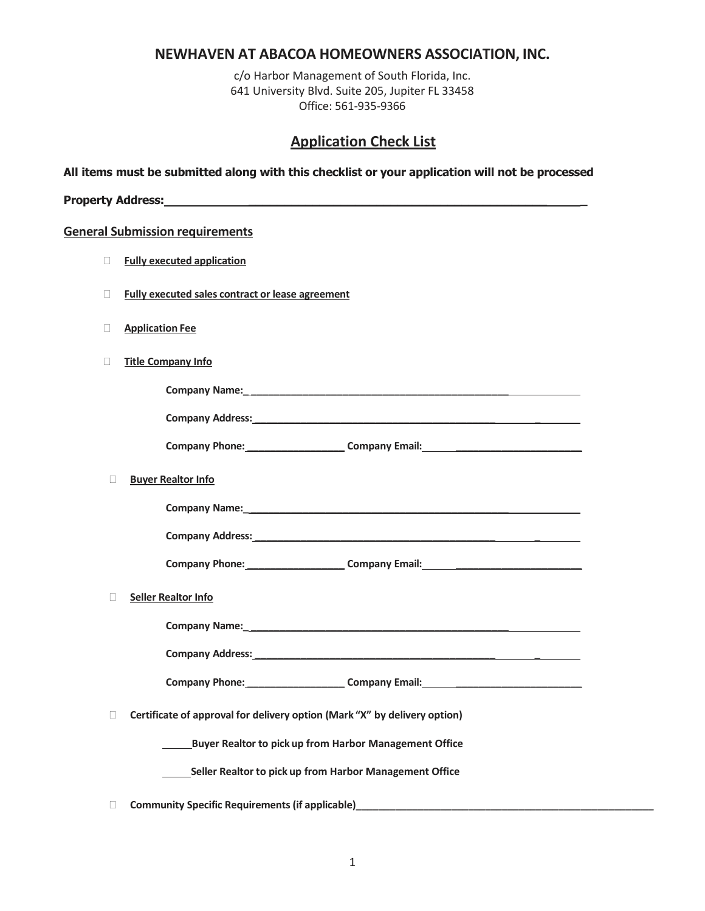## **NEWHAVEN AT ABACOA HOMEOWNERS ASSOCIATION, INC.**

c/o Harbor Management of South Florida, Inc. 641 University Blvd. Suite 205, Jupiter FL 33458 Office: 561-935-9366

## **Application Check List**

**All items must be submitted along with this checklist or your application will not be processed**

| <b>Property Address:</b> |  |
|--------------------------|--|
|                          |  |

#### **General Submission requirements**

- **Fully executed application**
- **Fully executed sales contract or lease agreement**
- **Application Fee**
- **Title Company Info**

| Company Name: |  |
|---------------|--|
|               |  |

| <b>Company Phone:</b> | <b>Company Email:</b> |  |
|-----------------------|-----------------------|--|

**Company Address: \_\_\_\_\_\_\_\_\_\_\_\_\_\_\_\_\_\_\_\_\_\_\_\_\_\_\_\_\_\_\_\_\_\_\_\_\_\_\_\_\_\_ \_**

|  | <b>Buyer Realtor Info</b> |  |
|--|---------------------------|--|

| <b>Company Name:</b> |
|----------------------|
|                      |

**Company Phone: \_\_\_\_\_\_\_\_\_\_\_\_\_\_\_\_\_ Company Email: \_\_\_\_\_\_\_\_\_\_\_\_\_\_\_\_\_\_\_\_\_\_**

**Seller Realtor Info**

| <b>Company Name:</b>    |  |  |
|-------------------------|--|--|
| <b>Company Address:</b> |  |  |
|                         |  |  |

**Company Phone: \_\_\_\_\_\_\_\_\_\_\_\_\_\_\_\_\_ Company Email: \_\_\_\_\_\_\_\_\_\_\_\_\_\_\_\_\_\_\_\_\_\_**

**Certificate of approval for delivery option (Mark "X" by delivery option)**

**Company Address: \_\_\_\_\_\_\_\_\_\_\_\_\_\_\_\_\_\_\_\_\_\_\_\_\_\_\_\_\_\_\_\_\_\_\_\_\_\_\_\_\_\_ \_**

**Buyer Realtor to pick up from Harbor Management Office**

**Seller Realtor to pick up from Harbor Management Office**

**Community Specific Requirements (if applicable)\_\_\_\_\_\_\_\_\_\_\_\_\_\_\_\_\_\_\_\_\_\_\_\_\_\_\_\_\_\_\_\_\_\_\_\_\_\_\_\_\_\_\_\_\_\_\_\_\_\_\_\_\_**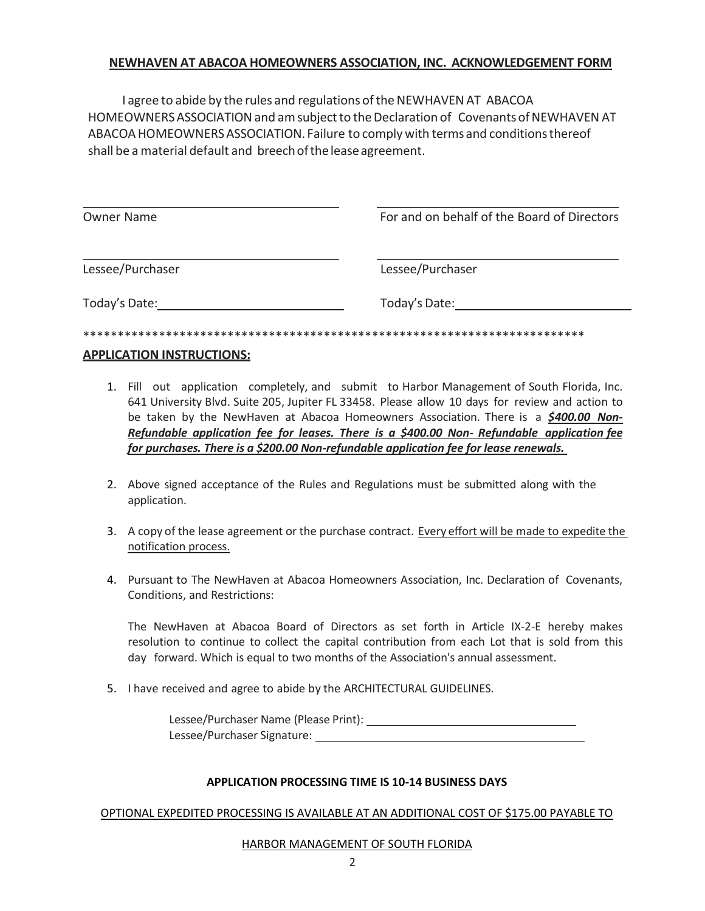### **NEWHAVEN AT ABACOA HOMEOWNERS ASSOCIATION, INC. ACKNOWLEDGEMENT FORM**

I agree to abide by the rules and regulations of the NEWHAVEN AT ABACOA HOMEOWNERS ASSOCIATION and am subject to the Declaration of Covenants of NEWHAVEN AT ABACOAHOMEOWNERSASSOCIATION. Failure to comply with terms and conditionsthereof shall be a material default and breech of the lease agreement.

| Owner Name       | For and on behalf of the Board of Directors |
|------------------|---------------------------------------------|
| Lessee/Purchaser | Lessee/Purchaser                            |
| Today's Date:    | Today's Date:                               |
|                  |                                             |

### **APPLICATION INSTRUCTIONS:**

- 1. Fill out application completely, and submit to Harbor Management of South Florida, Inc. 641 University Blvd. Suite 205, Jupiter FL 33458. Please allow 10 days for review and action to be taken by the NewHaven at Abacoa Homeowners Association. There is a *\$400.00 Non-Refundable application fee for leases. There is a \$400.00 Non- Refundable application fee for purchases. There is a \$200.00 Non-refundable application fee for lease renewals.*
- 2. Above signed acceptance of the Rules and Regulations must be submitted along with the application.
- 3. A copy of the lease agreement or the purchase contract. Every effort will be made to expedite the notification process.
- 4. Pursuant to The NewHaven at Abacoa Homeowners Association, Inc. Declaration of Covenants, Conditions, and Restrictions:

The NewHaven at Abacoa Board of Directors as set forth in Article IX-2-E hereby makes resolution to continue to collect the capital contribution from each Lot that is sold from this day forward. Which is equal to two months of the Association's annual assessment.

5. I have received and agree to abide by the ARCHITECTURAL GUIDELINES.

Lessee/Purchaser Name (Please Print): Lessee/Purchaser Signature:

### **APPLICATION PROCESSING TIME IS 10-14 BUSINESS DAYS**

OPTIONAL EXPEDITED PROCESSING IS AVAILABLE AT AN ADDITIONAL COST OF \$175.00 PAYABLE TO

### HARBOR MANAGEMENT OF SOUTH FLORIDA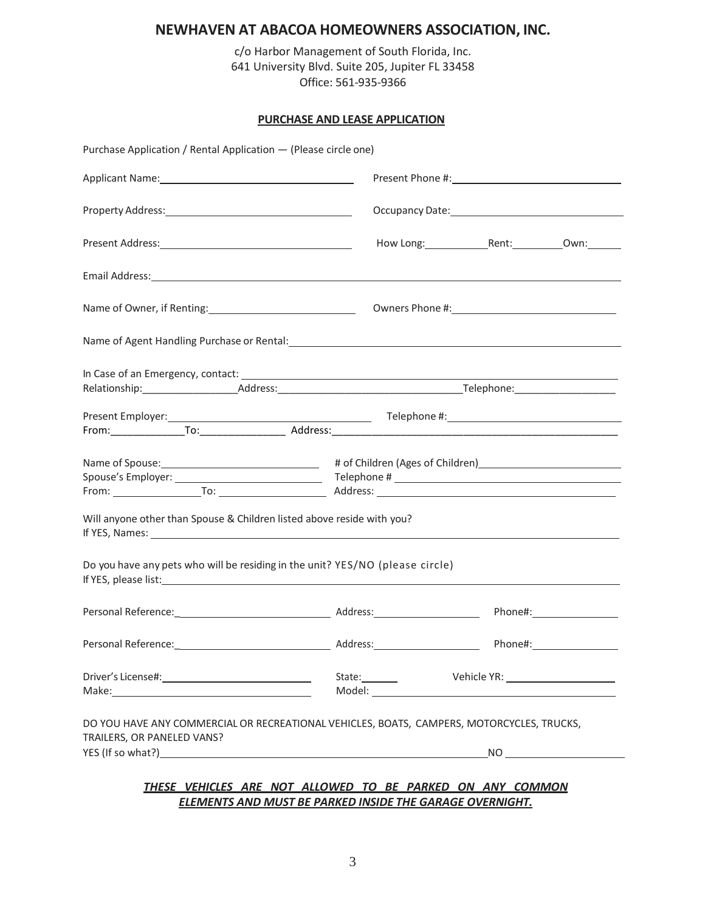# **NEWHAVEN AT ABACOA HOMEOWNERS ASSOCIATION, INC.**

c/o Harbor Management of South Florida, Inc. 641 University Blvd. Suite 205, Jupiter FL 33458 Office: 561-935-9366

#### **PURCHASE AND LEASE APPLICATION**

| Purchase Application / Rental Application - (Please circle one)                                                                                                                                                                                                                                                                                                                                                                   |                                     |  |
|-----------------------------------------------------------------------------------------------------------------------------------------------------------------------------------------------------------------------------------------------------------------------------------------------------------------------------------------------------------------------------------------------------------------------------------|-------------------------------------|--|
|                                                                                                                                                                                                                                                                                                                                                                                                                                   |                                     |  |
|                                                                                                                                                                                                                                                                                                                                                                                                                                   |                                     |  |
|                                                                                                                                                                                                                                                                                                                                                                                                                                   |                                     |  |
|                                                                                                                                                                                                                                                                                                                                                                                                                                   |                                     |  |
| Name of Owner, if Renting: 1990 1991 Compared November 2014 11: 2009 12: 2014 12: 2015                                                                                                                                                                                                                                                                                                                                            |                                     |  |
| Name of Agent Handling Purchase or Rental: Name of Agent Control of Agent Control of Agent Handling Purchase or Rental:                                                                                                                                                                                                                                                                                                           |                                     |  |
|                                                                                                                                                                                                                                                                                                                                                                                                                                   |                                     |  |
|                                                                                                                                                                                                                                                                                                                                                                                                                                   |                                     |  |
| Will anyone other than Spouse & Children listed above reside with you?                                                                                                                                                                                                                                                                                                                                                            |                                     |  |
| If YES, Names: 1988 Contract the Contract of the Contract of the Contract of the Contract of the Contract of the Contract of the Contract of the Contract of the Contract of the Contract of the Contract of the Contract of t<br>Do you have any pets who will be residing in the unit? YES/NO (please circle)<br>If YES, please list: 1999 and 2008 and 2009 and 2009 and 2009 and 2009 and 2009 and 2009 and 2009 and 2009 and |                                     |  |
|                                                                                                                                                                                                                                                                                                                                                                                                                                   |                                     |  |
|                                                                                                                                                                                                                                                                                                                                                                                                                                   |                                     |  |
|                                                                                                                                                                                                                                                                                                                                                                                                                                   | Vehicle YR: _______________________ |  |
| DO YOU HAVE ANY COMMERCIAL OR RECREATIONAL VEHICLES, BOATS, CAMPERS, MOTORCYCLES, TRUCKS,<br>TRAILERS, OR PANELED VANS?                                                                                                                                                                                                                                                                                                           |                                     |  |

*ELEMENTS AND MUST BE PARKED INSIDE THE GARAGE OVERNIGHT.*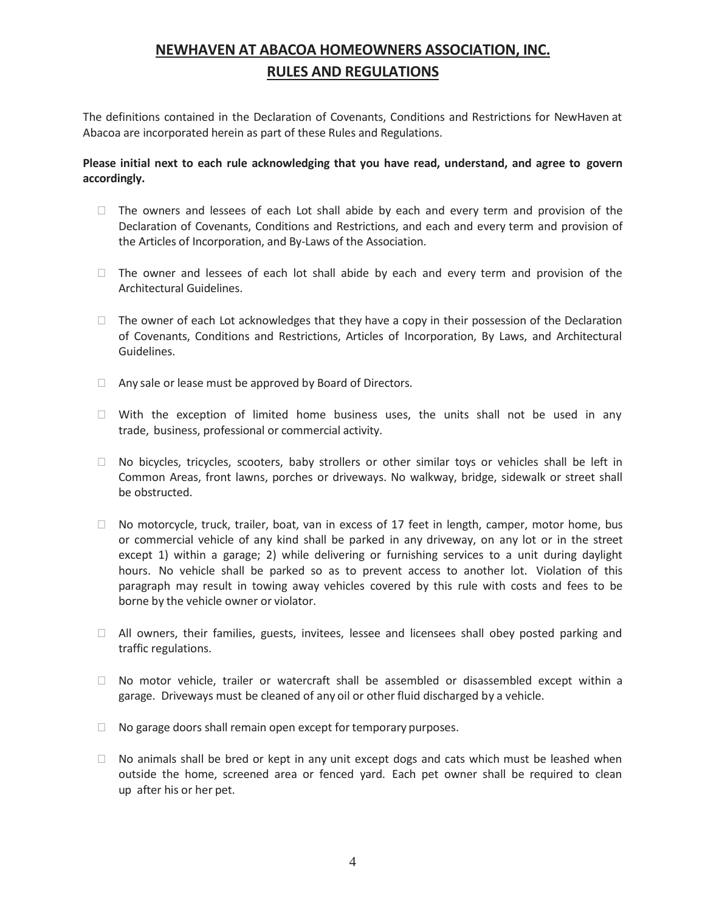# **NEWHAVEN AT ABACOA HOMEOWNERS ASSOCIATION, INC. RULES AND REGULATIONS**

The definitions contained in the Declaration of Covenants, Conditions and Restrictions for NewHaven at Abacoa are incorporated herein as part of these Rules and Regulations.

### **Please initial next to each rule acknowledging that you have read, understand, and agree to govern accordingly.**

- $\Box$  The owners and lessees of each Lot shall abide by each and every term and provision of the Declaration of Covenants, Conditions and Restrictions, and each and every term and provision of the Articles of Incorporation, and By-Laws of the Association.
- $\Box$  The owner and lessees of each lot shall abide by each and every term and provision of the Architectural Guidelines.
- $\Box$  The owner of each Lot acknowledges that they have a copy in their possession of the Declaration of Covenants, Conditions and Restrictions, Articles of Incorporation, By Laws, and Architectural Guidelines.
- $\Box$  Any sale or lease must be approved by Board of Directors.
- $\Box$  With the exception of limited home business uses, the units shall not be used in any trade, business, professional or commercial activity.
- $\Box$  No bicycles, tricycles, scooters, baby strollers or other similar toys or vehicles shall be left in Common Areas, front lawns, porches or driveways. No walkway, bridge, sidewalk or street shall be obstructed.
- $\Box$  No motorcycle, truck, trailer, boat, van in excess of 17 feet in length, camper, motor home, bus or commercial vehicle of any kind shall be parked in any driveway, on any lot or in the street except 1) within a garage; 2) while delivering or furnishing services to a unit during daylight hours. No vehicle shall be parked so as to prevent access to another lot. Violation of this paragraph may result in towing away vehicles covered by this rule with costs and fees to be borne by the vehicle owner or violator.
- $\Box$  All owners, their families, guests, invitees, lessee and licensees shall obey posted parking and traffic regulations.
- $\Box$  No motor vehicle, trailer or watercraft shall be assembled or disassembled except within a garage. Driveways must be cleaned of any oil or other fluid discharged by a vehicle.
- $\Box$  No garage doors shall remain open except for temporary purposes.
- $\Box$  No animals shall be bred or kept in any unit except dogs and cats which must be leashed when outside the home, screened area or fenced yard. Each pet owner shall be required to clean up after his or her pet.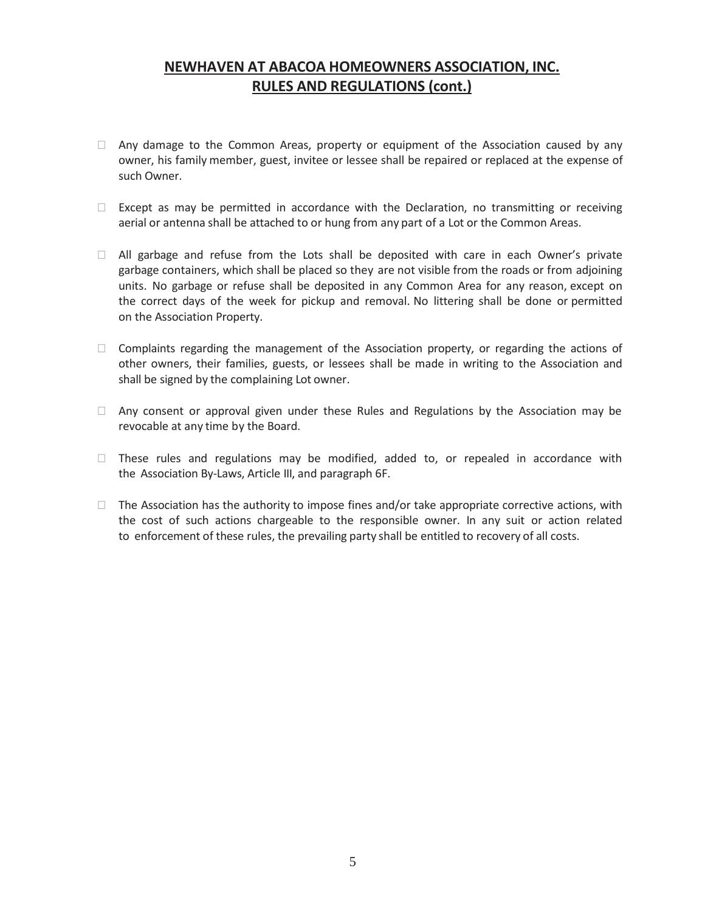# **NEWHAVEN AT ABACOA HOMEOWNERS ASSOCIATION, INC. RULES AND REGULATIONS (cont.)**

- $\Box$  Any damage to the Common Areas, property or equipment of the Association caused by any owner, his family member, guest, invitee or lessee shall be repaired or replaced at the expense of such Owner.
- $\Box$  Except as may be permitted in accordance with the Declaration, no transmitting or receiving aerial or antenna shall be attached to or hung from any part of a Lot or the Common Areas.
- $\Box$  All garbage and refuse from the Lots shall be deposited with care in each Owner's private garbage containers, which shall be placed so they are not visible from the roads or from adjoining units. No garbage or refuse shall be deposited in any Common Area for any reason, except on the correct days of the week for pickup and removal. No littering shall be done or permitted on the Association Property.
- $\Box$  Complaints regarding the management of the Association property, or regarding the actions of other owners, their families, guests, or lessees shall be made in writing to the Association and shall be signed by the complaining Lot owner.
- $\Box$  Any consent or approval given under these Rules and Regulations by the Association may be revocable at any time by the Board.
- $\Box$  These rules and regulations may be modified, added to, or repealed in accordance with the Association By-Laws, Article III, and paragraph 6F.
- $\Box$  The Association has the authority to impose fines and/or take appropriate corrective actions, with the cost of such actions chargeable to the responsible owner. In any suit or action related to enforcement of these rules, the prevailing party shall be entitled to recovery of all costs.